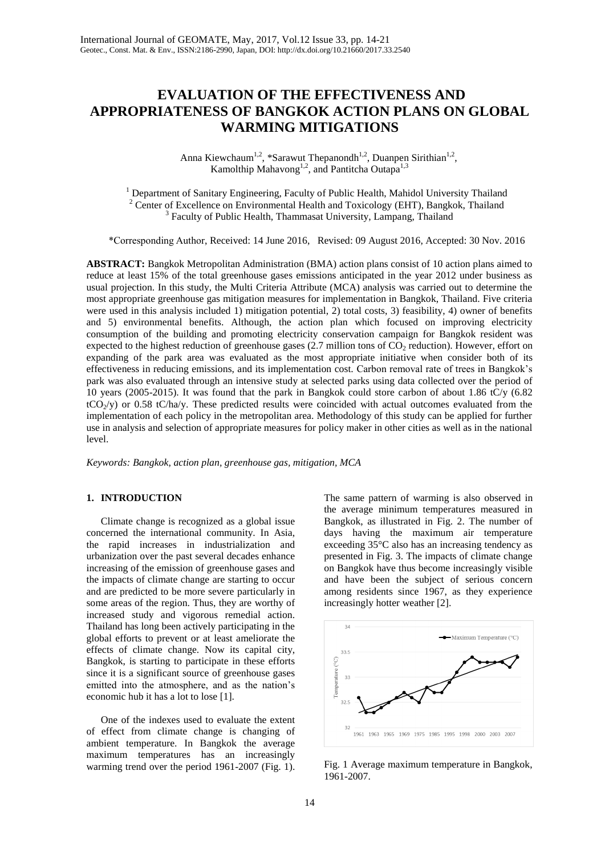# **EVALUATION OF THE EFFECTIVENESS AND APPROPRIATENESS OF BANGKOK ACTION PLANS ON GLOBAL WARMING MITIGATIONS**

Anna Kiewchaum<sup>1,2</sup>, \*Sarawut Thepanondh<sup>1,2</sup>, Duanpen Sirithian<sup>1,2</sup>, Kamolthip Mahavong<sup>1,2</sup>, and Pantitcha Outapa<sup>1,3</sup>

<sup>1</sup> Department of Sanitary Engineering, Faculty of Public Health, Mahidol University Thailand <sup>2</sup> Center of Excellence on Environmental Health and Toxicology (EHT), Bangkok, Thailand <sup>3</sup> Faculty of Public Health, Thammasat University, Lampang, Thailand

\*Corresponding Author, Received: 14 June 2016, Revised: 09 August 2016, Accepted: 30 Nov. 2016

**ABSTRACT:** Bangkok Metropolitan Administration (BMA) action plans consist of 10 action plans aimed to reduce at least 15% of the total greenhouse gases emissions anticipated in the year 2012 under business as usual projection. In this study, the Multi Criteria Attribute (MCA) analysis was carried out to determine the most appropriate greenhouse gas mitigation measures for implementation in Bangkok, Thailand. Five criteria were used in this analysis included 1) mitigation potential, 2) total costs, 3) feasibility, 4) owner of benefits and 5) environmental benefits. Although, the action plan which focused on improving electricity consumption of the building and promoting electricity conservation campaign for Bangkok resident was expected to the highest reduction of greenhouse gases (2.7 million tons of  $CO<sub>2</sub>$  reduction). However, effort on expanding of the park area was evaluated as the most appropriate initiative when consider both of its effectiveness in reducing emissions, and its implementation cost. Carbon removal rate of trees in Bangkok's park was also evaluated through an intensive study at selected parks using data collected over the period of 10 years (2005-2015). It was found that the park in Bangkok could store carbon of about 1.86 tC/y (6.82  $tCO<sub>2</sub>/y$ ) or 0.58 tC/ha/y. These predicted results were coincided with actual outcomes evaluated from the implementation of each policy in the metropolitan area. Methodology of this study can be applied for further use in analysis and selection of appropriate measures for policy maker in other cities as well as in the national level.

*Keywords: Bangkok, action plan, greenhouse gas, mitigation, MCA* 

## **1. INTRODUCTION**

Climate change is recognized as a global issue concerned the international community. In Asia, the rapid increases in industrialization and urbanization over the past several decades enhance increasing of the emission of greenhouse gases and the impacts of climate change are starting to occur and are predicted to be more severe particularly in some areas of the region. Thus, they are worthy of increased study and vigorous remedial action. Thailand has long been actively participating in the global efforts to prevent or at least ameliorate the effects of climate change. Now its capital city, Bangkok, is starting to participate in these efforts since it is a significant source of greenhouse gases emitted into the atmosphere, and as the nation's economic hub it has a lot to lose [1].

One of the indexes used to evaluate the extent of effect from climate change is changing of ambient temperature. In Bangkok the average maximum temperatures has an increasingly warming trend over the period 1961-2007 (Fig. 1).

The same pattern of warming is also observed in the average minimum temperatures measured in Bangkok, as illustrated in Fig. 2. The number of days having the maximum air temperature exceeding 35°C also has an increasing tendency as presented in Fig. 3. The impacts of climate change on Bangkok have thus become increasingly visible and have been the subject of serious concern among residents since 1967, as they experience increasingly hotter weather [2].



Fig. 1 Average maximum temperature in Bangkok, 1961-2007.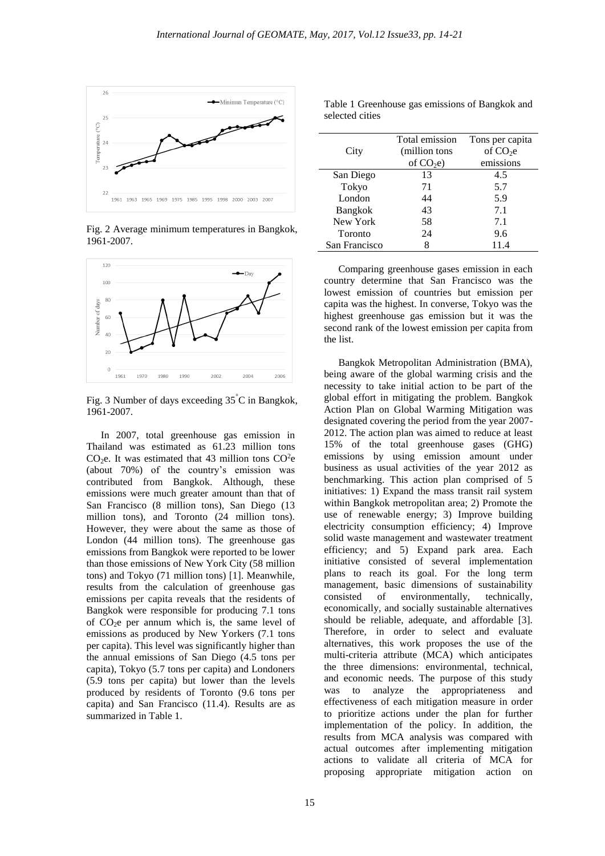

Fig. 2 Average minimum temperatures in Bangkok, 1961-2007.



Fig. 3 Number of days exceeding 35°C in Bangkok, 1961-2007.

In 2007, total greenhouse gas emission in Thailand was estimated as 61.23 million tons  $CO<sub>2</sub>e$ . It was estimated that 43 million tons  $CO<sup>2</sup>e$ (about 70%) of the country's emission was contributed from Bangkok. Although, these emissions were much greater amount than that of San Francisco (8 million tons), San Diego (13 million tons), and Toronto (24 million tons). However, they were about the same as those of London (44 million tons). The greenhouse gas emissions from Bangkok were reported to be lower than those emissions of New York City (58 million tons) and Tokyo (71 million tons) [1]. Meanwhile, results from the calculation of greenhouse gas emissions per capita reveals that the residents of Bangkok were responsible for producing 7.1 tons of  $CO<sub>2</sub>e$  per annum which is, the same level of emissions as produced by New Yorkers (7.1 tons per capita). This level was significantly higher than the annual emissions of San Diego (4.5 tons per capita), Tokyo (5.7 tons per capita) and Londoners (5.9 tons per capita) but lower than the levels produced by residents of Toronto (9.6 tons per capita) and San Francisco (11.4). Results are as summarized in Table 1.

|                | Total emission | Tons per capita |
|----------------|----------------|-----------------|
| City           | (million tons  | of $CO2e$       |
|                | of $CO2e$ )    | emissions       |
| San Diego      | 13             | 4.5             |
| Tokyo          | 71             | 5.7             |
| London         | 44             | 5.9             |
| <b>Bangkok</b> | 43             | 7.1             |
| New York       | 58             | 7.1             |
| Toronto        | 24             | 9.6             |
| San Francisco  | Ջ              | 11.4            |

Table 1 Greenhouse gas emissions of Bangkok and selected cities

Comparing greenhouse gases emission in each country determine that San Francisco was the lowest emission of countries but emission per capita was the highest. In converse, Tokyo was the highest greenhouse gas emission but it was the second rank of the lowest emission per capita from the list.

Bangkok Metropolitan Administration (BMA), being aware of the global warming crisis and the necessity to take initial action to be part of the global effort in mitigating the problem. Bangkok Action Plan on Global Warming Mitigation was designated covering the period from the year 2007- 2012. The action plan was aimed to reduce at least 15% of the total greenhouse gases (GHG) emissions by using emission amount under business as usual activities of the year 2012 as benchmarking. This action plan comprised of 5 initiatives: 1) Expand the mass transit rail system within Bangkok metropolitan area; 2) Promote the use of renewable energy; 3) Improve building electricity consumption efficiency; 4) Improve solid waste management and wastewater treatment efficiency; and 5) Expand park area. Each initiative consisted of several implementation plans to reach its goal. For the long term management, basic dimensions of sustainability consisted of environmentally, technically, economically, and socially sustainable alternatives should be reliable, adequate, and affordable [3]. Therefore, in order to select and evaluate alternatives, this work proposes the use of the multi-criteria attribute (MCA) which anticipates the three dimensions: environmental, technical, and economic needs. The purpose of this study was to analyze the appropriateness and effectiveness of each mitigation measure in order to prioritize actions under the plan for further implementation of the policy. In addition, the results from MCA analysis was compared with actual outcomes after implementing mitigation actions to validate all criteria of MCA for proposing appropriate mitigation action on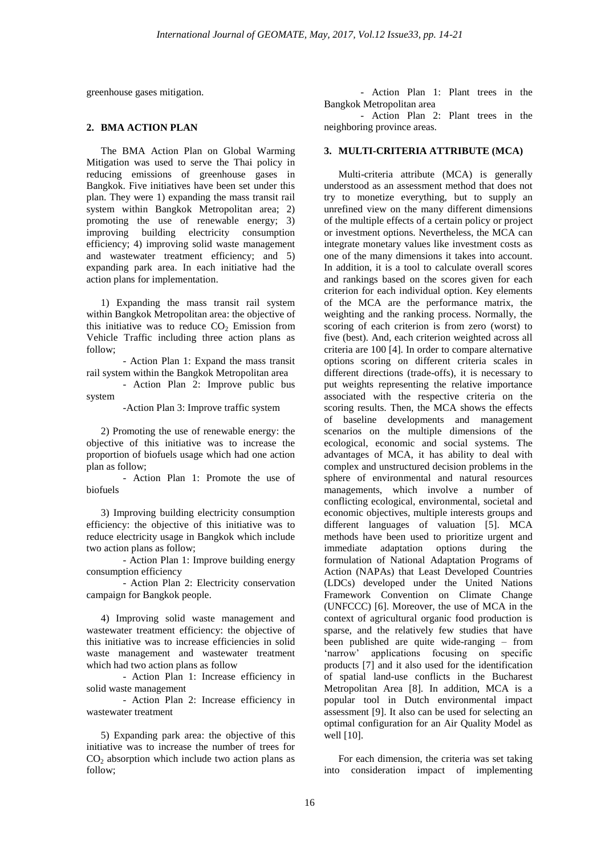greenhouse gases mitigation.

## **2. BMA ACTION PLAN**

The BMA Action Plan on Global Warming Mitigation was used to serve the Thai policy in reducing emissions of greenhouse gases in Bangkok. Five initiatives have been set under this plan. They were 1) expanding the mass transit rail system within Bangkok Metropolitan area; 2) promoting the use of renewable energy; 3) improving building electricity consumption efficiency; 4) improving solid waste management and wastewater treatment efficiency; and 5) expanding park area. In each initiative had the action plans for implementation.

1) Expanding the mass transit rail system within Bangkok Metropolitan area: the objective of this initiative was to reduce  $CO<sub>2</sub>$  Emission from Vehicle Traffic including three action plans as follow;

- Action Plan 1: Expand the mass transit rail system within the Bangkok Metropolitan area

- Action Plan 2: Improve public bus system

-Action Plan 3: Improve traffic system

2) Promoting the use of renewable energy: the objective of this initiative was to increase the proportion of biofuels usage which had one action plan as follow;

- Action Plan 1: Promote the use of biofuels

3) Improving building electricity consumption efficiency: the objective of this initiative was to reduce electricity usage in Bangkok which include two action plans as follow;

- Action Plan 1: Improve building energy consumption efficiency

- Action Plan 2: Electricity conservation campaign for Bangkok people.

4) Improving solid waste management and wastewater treatment efficiency: the objective of this initiative was to increase efficiencies in solid waste management and wastewater treatment which had two action plans as follow

- Action Plan 1: Increase efficiency in solid waste management

- Action Plan 2: Increase efficiency in wastewater treatment

5) Expanding park area: the objective of this initiative was to increase the number of trees for  $CO<sub>2</sub>$  absorption which include two action plans as follow;

- Action Plan 1: Plant trees in the Bangkok Metropolitan area

- Action Plan 2: Plant trees in the neighboring province areas.

## **3. MULTI-CRITERIA ATTRIBUTE (MCA)**

Multi-criteria attribute (MCA) is generally understood as an assessment method that does not try to monetize everything, but to supply an unrefined view on the many different dimensions of the multiple effects of a certain policy or project or investment options. Nevertheless, the MCA can integrate monetary values like investment costs as one of the many dimensions it takes into account. In addition, it is a tool to calculate overall scores and rankings based on the scores given for each criterion for each individual option. Key elements of the MCA are the performance matrix, the weighting and the ranking process. Normally, the scoring of each criterion is from zero (worst) to five (best). And, each criterion weighted across all criteria are 100 [4]. In order to compare alternative options scoring on different criteria scales in different directions (trade-offs), it is necessary to put weights representing the relative importance associated with the respective criteria on the scoring results. Then, the MCA shows the effects of baseline developments and management scenarios on the multiple dimensions of the ecological, economic and social systems. The advantages of MCA, it has ability to deal with complex and unstructured decision problems in the sphere of environmental and natural resources managements, which involve a number of conflicting ecological, environmental, societal and economic objectives, multiple interests groups and different languages of valuation [5]. MCA methods have been used to prioritize urgent and immediate adaptation options during the formulation of National Adaptation Programs of Action (NAPAs) that Least Developed Countries (LDCs) developed under the United Nations Framework Convention on Climate Change (UNFCCC) [6]. Moreover, the use of MCA in the context of agricultural organic food production is sparse, and the relatively few studies that have been published are quite wide-ranging – from 'narrow' applications focusing on specific products [7] and it also used for the identification of spatial land-use conflicts in the Bucharest Metropolitan Area [8]. In addition, MCA is a popular tool in Dutch environmental impact assessment [9]. It also can be used for selecting an optimal configuration for an Air Quality Model as well [10].

For each dimension, the criteria was set taking into consideration impact of implementing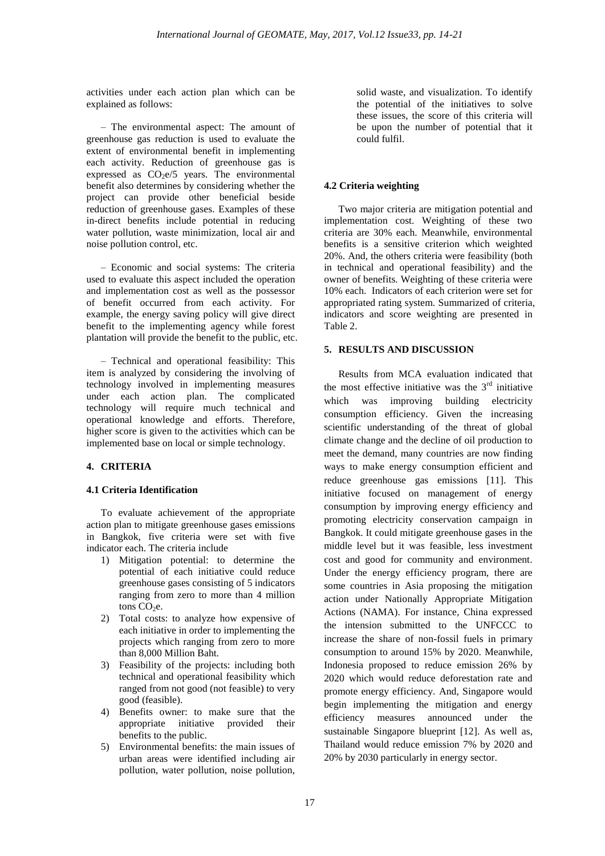activities under each action plan which can be explained as follows:

– The environmental aspect: The amount of greenhouse gas reduction is used to evaluate the extent of environmental benefit in implementing each activity. Reduction of greenhouse gas is expressed as  $CO<sub>2</sub>e/5$  years. The environmental benefit also determines by considering whether the project can provide other beneficial beside reduction of greenhouse gases. Examples of these in-direct benefits include potential in reducing water pollution, waste minimization, local air and noise pollution control, etc.

– Economic and social systems: The criteria used to evaluate this aspect included the operation and implementation cost as well as the possessor of benefit occurred from each activity. For example, the energy saving policy will give direct benefit to the implementing agency while forest plantation will provide the benefit to the public, etc.

– Technical and operational feasibility: This item is analyzed by considering the involving of technology involved in implementing measures under each action plan. The complicated technology will require much technical and operational knowledge and efforts. Therefore, higher score is given to the activities which can be implemented base on local or simple technology.

# **4. CRITERIA**

# **4.1 Criteria Identification**

To evaluate achievement of the appropriate action plan to mitigate greenhouse gases emissions in Bangkok, five criteria were set with five indicator each. The criteria include

- 1) Mitigation potential: to determine the potential of each initiative could reduce greenhouse gases consisting of 5 indicators ranging from zero to more than 4 million tons  $CO<sub>2</sub>e$ .
- 2) Total costs: to analyze how expensive of each initiative in order to implementing the projects which ranging from zero to more than 8,000 Million Baht.
- 3) Feasibility of the projects: including both technical and operational feasibility which ranged from not good (not feasible) to very good (feasible).
- 4) Benefits owner: to make sure that the appropriate initiative provided their benefits to the public.
- 5) Environmental benefits: the main issues of urban areas were identified including air pollution, water pollution, noise pollution,

solid waste, and visualization. To identify the potential of the initiatives to solve these issues, the score of this criteria will be upon the number of potential that it could fulfil.

# **4.2 Criteria weighting**

Two major criteria are mitigation potential and implementation cost. Weighting of these two criteria are 30% each. Meanwhile, environmental benefits is a sensitive criterion which weighted 20%. And, the others criteria were feasibility (both in technical and operational feasibility) and the owner of benefits. Weighting of these criteria were 10% each. Indicators of each criterion were set for appropriated rating system. Summarized of criteria, indicators and score weighting are presented in Table 2.

# **5. RESULTS AND DISCUSSION**

Results from MCA evaluation indicated that the most effective initiative was the  $3<sup>rd</sup>$  initiative which was improving building electricity consumption efficiency. Given the increasing scientific understanding of the threat of global climate change and the decline of oil production to meet the demand, many countries are now finding ways to make energy consumption efficient and reduce greenhouse gas emissions [11]. This initiative focused on management of energy consumption by improving energy efficiency and promoting electricity conservation campaign in Bangkok. It could mitigate greenhouse gases in the middle level but it was feasible, less investment cost and good for community and environment. Under the energy efficiency program, there are some countries in Asia proposing the mitigation action under Nationally Appropriate Mitigation Actions (NAMA). For instance, China expressed the intension submitted to the UNFCCC to increase the share of non-fossil fuels in primary consumption to around 15% by 2020. Meanwhile, Indonesia proposed to reduce emission 26% by 2020 which would reduce deforestation rate and promote energy efficiency. And, Singapore would begin implementing the mitigation and energy efficiency measures announced under the sustainable Singapore blueprint [12]. As well as, Thailand would reduce emission 7% by 2020 and 20% by 2030 particularly in energy sector.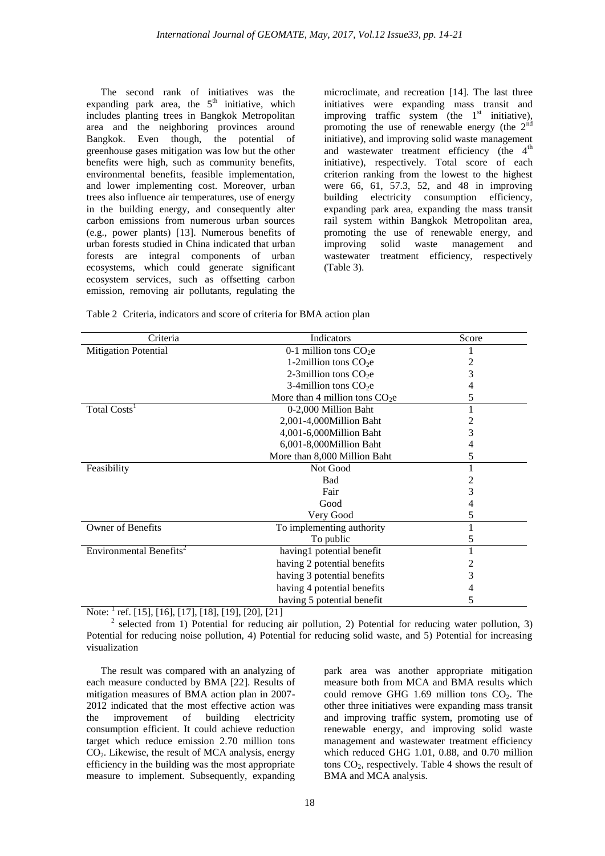The second rank of initiatives was the expanding park area, the  $5<sup>th</sup>$  initiative, which includes planting trees in Bangkok Metropolitan area and the neighboring provinces around Bangkok. Even though, the potential of greenhouse gases mitigation was low but the other benefits were high, such as community benefits, environmental benefits, feasible implementation, and lower implementing cost. Moreover, urban trees also influence air temperatures, use of energy in the building energy, and consequently alter carbon emissions from numerous urban sources (e.g., power plants) [13]. Numerous benefits of urban forests studied in China indicated that urban forests are integral components of urban ecosystems, which could generate significant ecosystem services, such as offsetting carbon emission, removing air pollutants, regulating the

microclimate, and recreation [14]. The last three initiatives were expanding mass transit and improving traffic system (the  $1<sup>st</sup>$  initiative), promoting the use of renewable energy (the  $2<sup>nd</sup>$ initiative), and improving solid waste management and wastewater treatment efficiency (the  $4<sup>th</sup>$ initiative), respectively. Total score of each criterion ranking from the lowest to the highest were 66, 61, 57.3, 52, and 48 in improving building electricity consumption efficiency, expanding park area, expanding the mass transit rail system within Bangkok Metropolitan area, promoting the use of renewable energy, and improving solid waste management and wastewater treatment efficiency, respectively (Table 3).

|  |  | Table 2 Criteria, indicators and score of criteria for BMA action plan |  |  |  |  |  |  |  |  |
|--|--|------------------------------------------------------------------------|--|--|--|--|--|--|--|--|
|--|--|------------------------------------------------------------------------|--|--|--|--|--|--|--|--|

| Criteria                            | Indicators                      | Score |
|-------------------------------------|---------------------------------|-------|
| Mitigation Potential                | 0-1 million tons $CO2e$         |       |
|                                     | 1-2million tons $CO2e$          | 2     |
|                                     | 2-3 million tons $CO2e$         | 3     |
|                                     | 3-4 million tons $CO2e$         | 4     |
|                                     | More than 4 million tons $CO2e$ | 5     |
| Total Costs <sup>1</sup>            | 0-2,000 Million Baht            |       |
|                                     | 2,001-4,000Million Baht         |       |
|                                     | 4,001-6,000Million Baht         | 3     |
|                                     | 6,001-8,000Million Baht         | 4     |
|                                     | More than 8,000 Million Baht    | 5     |
| Feasibility                         | Not Good                        |       |
|                                     | <b>Bad</b>                      |       |
|                                     | Fair                            | 3     |
|                                     | Good                            |       |
|                                     | Very Good                       | 5     |
| Owner of Benefits                   | To implementing authority       |       |
|                                     | To public                       | 5     |
| Environmental Benefits <sup>2</sup> | having1 potential benefit       |       |
|                                     | having 2 potential benefits     |       |
|                                     | having 3 potential benefits     | 3     |
|                                     | having 4 potential benefits     | 4     |
|                                     | having 5 potential benefit      | 5     |

Note: <sup>1</sup> ref. [15], [16], [17], [18], [19], [20], [21]

<sup>2</sup> selected from 1) Potential for reducing air pollution, 2) Potential for reducing water pollution, 3) Potential for reducing noise pollution, 4) Potential for reducing solid waste, and 5) Potential for increasing visualization

The result was compared with an analyzing of each measure conducted by BMA [22]. Results of mitigation measures of BMA action plan in 2007- 2012 indicated that the most effective action was the improvement of building electricity consumption efficient. It could achieve reduction target which reduce emission 2.70 million tons  $CO<sub>2</sub>$ . Likewise, the result of MCA analysis, energy efficiency in the building was the most appropriate measure to implement. Subsequently, expanding

park area was another appropriate mitigation measure both from MCA and BMA results which could remove GHG 1.69 million tons  $CO<sub>2</sub>$ . The other three initiatives were expanding mass transit and improving traffic system, promoting use of renewable energy, and improving solid waste management and wastewater treatment efficiency which reduced GHG 1.01, 0.88, and 0.70 million tons  $CO<sub>2</sub>$ , respectively. Table 4 shows the result of BMA and MCA analysis.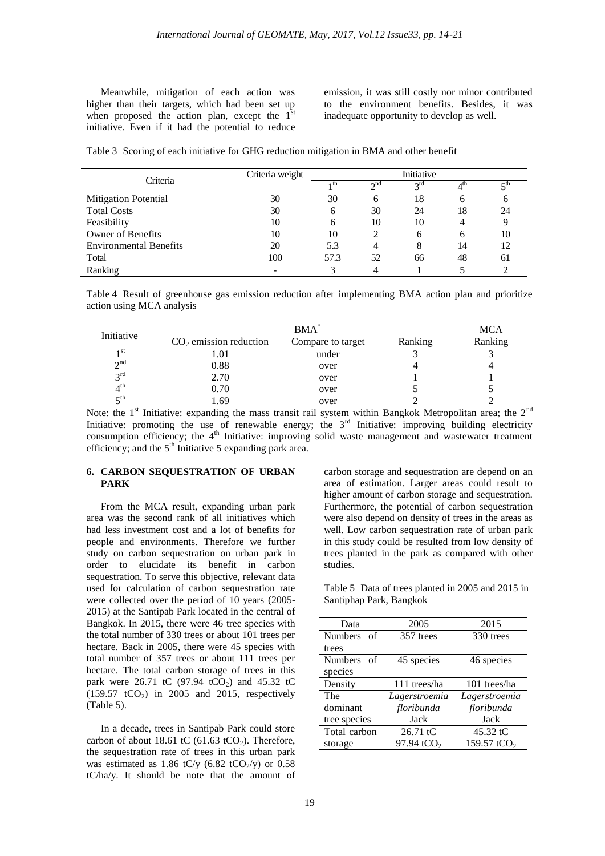Meanwhile, mitigation of each action was higher than their targets, which had been set up when proposed the action plan, except the  $1<sup>st</sup>$ initiative. Even if it had the potential to reduce

emission, it was still costly nor minor contributed to the environment benefits. Besides, it was inadequate opportunity to develop as well.

Table 3 Scoring of each initiative for GHG reduction mitigation in BMA and other benefit

|                               | Criteria weight | Initiative |           |                 |    |    |
|-------------------------------|-----------------|------------|-----------|-----------------|----|----|
| Criteria                      |                 | ı th       | $\sim$ nd | 3 <sup>rd</sup> |    |    |
| <b>Mitigation Potential</b>   | 30              | 30         |           | 18              |    |    |
| <b>Total Costs</b>            | 30              | h          | 30        | 24              | 18 | 24 |
| Feasibility                   | 10              | h          | 10        | 10              |    |    |
| Owner of Benefits             | 10              | 10         |           | h               |    |    |
| <b>Environmental Benefits</b> | 20              | 5.3        |           |                 | 14 |    |
| Total                         | 100             | 57.3       | 52        | 66              | 48 | 61 |
| Ranking                       |                 |            |           |                 |    |    |

Table 4 Result of greenhouse gas emission reduction after implementing BMA action plan and prioritize action using MCA analysis

| Initiative      |                          | MCA               |         |         |
|-----------------|--------------------------|-------------------|---------|---------|
|                 | $CO2$ emission reduction | Compare to target | Ranking | Ranking |
| 1 st            | 1.01                     | under             |         |         |
| $\gamma$ nd     | 0.88                     | over              |         |         |
| $2^{\text{rd}}$ | 2.70                     | over              |         |         |
| $4^{\text{th}}$ | 0.70                     | over              |         |         |
| $\tau$ th       | 1.69                     | over              |         |         |

Note: the  $1^{\text{st}}$  Initiative: expanding the mass transit rail system within Bangkok Metropolitan area; the  $2^{\text{nd}}$ Initiative: promoting the use of renewable energy; the  $3<sup>rd</sup>$  Initiative: improving building electricity consumption efficiency; the 4<sup>th</sup> Initiative: improving solid waste management and wastewater treatment efficiency; and the  $5<sup>th</sup>$  Initiative 5 expanding park area.

## **6. CARBON SEQUESTRATION OF URBAN PARK**

From the MCA result, expanding urban park area was the second rank of all initiatives which had less investment cost and a lot of benefits for people and environments. Therefore we further study on carbon sequestration on urban park in order to elucidate its benefit in carbon sequestration. To serve this objective, relevant data used for calculation of carbon sequestration rate were collected over the period of 10 years (2005- 2015) at the Santipab Park located in the central of Bangkok. In 2015, there were 46 tree species with the total number of 330 trees or about 101 trees per hectare. Back in 2005, there were 45 species with total number of 357 trees or about 111 trees per hectare. The total carbon storage of trees in this park were 26.71 tC (97.94 tCO<sub>2</sub>) and 45.32 tC  $(159.57 \text{ tCO}_2)$  in 2005 and 2015, respectively (Table 5).

In a decade, trees in Santipab Park could store carbon of about 18.61 tC (61.63 tCO<sub>2</sub>). Therefore, the sequestration rate of trees in this urban park was estimated as 1.86 tC/y (6.82 tCO<sub>2</sub>/y) or 0.58 tC/ha/y. It should be note that the amount of

carbon storage and sequestration are depend on an area of estimation. Larger areas could result to higher amount of carbon storage and sequestration. Furthermore, the potential of carbon sequestration were also depend on density of trees in the areas as well. Low carbon sequestration rate of urban park in this study could be resulted from low density of trees planted in the park as compared with other studies.

Table 5 Data of trees planted in 2005 and 2015 in Santiphap Park, Bangkok

| Data                 | 2005                   | 2015                    |  |
|----------------------|------------------------|-------------------------|--|
| Numbers of           | 357 trees              | 330 trees               |  |
| trees                |                        |                         |  |
| <b>Numbers</b><br>of | 45 species             | 46 species              |  |
| species              |                        |                         |  |
| Density              | 111 trees/ha           | 101 trees/ha            |  |
| The                  | Lagerstroemia          | Lagerstroemia           |  |
| dominant             | floribunda             | floribunda              |  |
| tree species         | Jack                   | Jack                    |  |
| Total carbon         | $26.71 \text{ tC}$     | 45.32 $tC$              |  |
| storage              | 97.94 tCO <sub>2</sub> | 159.57 tCO <sub>2</sub> |  |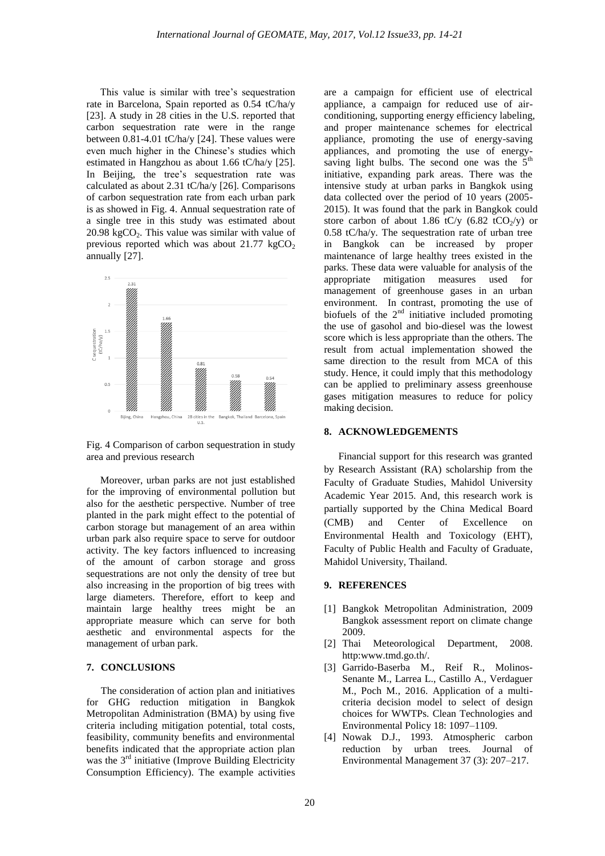This value is similar with tree's sequestration rate in Barcelona, Spain reported as 0.54 tC/ha/y [23]. A study in 28 cities in the U.S. reported that carbon sequestration rate were in the range between 0.81-4.01 tC/ha/y [24]. These values were even much higher in the Chinese's studies which estimated in Hangzhou as about 1.66 tC/ha/y [25]. In Beijing, the tree's sequestration rate was calculated as about 2.31 tC/ha/y [26]. Comparisons of carbon sequestration rate from each urban park is as showed in Fig. 4. Annual sequestration rate of a single tree in this study was estimated about  $20.98 \text{ kgCO}_2$ . This value was similar with value of previous reported which was about  $21.77 \text{ kgCO}_2$ annually [27].



Fig. 4 Comparison of carbon sequestration in study area and previous research

Moreover, urban parks are not just established for the improving of environmental pollution but also for the aesthetic perspective. Number of tree planted in the park might effect to the potential of carbon storage but management of an area within urban park also require space to serve for outdoor activity. The key factors influenced to increasing of the amount of carbon storage and gross sequestrations are not only the density of tree but also increasing in the proportion of big trees with large diameters. Therefore, effort to keep and maintain large healthy trees might be an appropriate measure which can serve for both aesthetic and environmental aspects for the management of urban park.

## **7. CONCLUSIONS**

The consideration of action plan and initiatives for GHG reduction mitigation in Bangkok Metropolitan Administration (BMA) by using five criteria including mitigation potential, total costs, feasibility, community benefits and environmental benefits indicated that the appropriate action plan was the  $3<sup>rd</sup>$  initiative (Improve Building Electricity Consumption Efficiency). The example activities

are a campaign for efficient use of electrical appliance, a campaign for reduced use of airconditioning, supporting energy efficiency labeling, and proper maintenance schemes for electrical appliance, promoting the use of energy-saving appliances, and promoting the use of energysaving light bulbs. The second one was the  $5<sup>th</sup>$ initiative, expanding park areas. There was the intensive study at urban parks in Bangkok using data collected over the period of 10 years (2005- 2015). It was found that the park in Bangkok could store carbon of about 1.86 tC/y  $(6.82 \text{ tCO}_2/\text{y})$  or 0.58 tC/ha/y. The sequestration rate of urban tree in Bangkok can be increased by proper maintenance of large healthy trees existed in the parks. These data were valuable for analysis of the appropriate mitigation measures used for management of greenhouse gases in an urban environment. In contrast, promoting the use of biofuels of the  $2<sup>nd</sup>$  initiative included promoting the use of gasohol and bio-diesel was the lowest score which is less appropriate than the others. The result from actual implementation showed the same direction to the result from MCA of this study. Hence, it could imply that this methodology can be applied to preliminary assess greenhouse gases mitigation measures to reduce for policy making decision.

#### **8. ACKNOWLEDGEMENTS**

Financial support for this research was granted by Research Assistant (RA) scholarship from the Faculty of Graduate Studies, Mahidol University Academic Year 2015. And, this research work is partially supported by the China Medical Board (CMB) and Center of Excellence on Environmental Health and Toxicology (EHT), Faculty of Public Health and Faculty of Graduate, Mahidol University, Thailand.

## **9. REFERENCES**

- [1] Bangkok Metropolitan Administration, 2009 Bangkok assessment report on climate change 2009.
- [2] Thai Meteorological Department, 2008. http:www.tmd.go.th/.
- [3] Garrido-Baserba M., Reif R., Molinos-Senante M., Larrea L., Castillo A., Verdaguer M., Poch M., 2016. Application of a multicriteria decision model to select of design choices for WWTPs. Clean Technologies and Environmental Policy 18: 1097–1109.
- [4] Nowak D.J., 1993. Atmospheric carbon reduction by urban trees. Journal of Environmental Management 37 (3): 207–217.